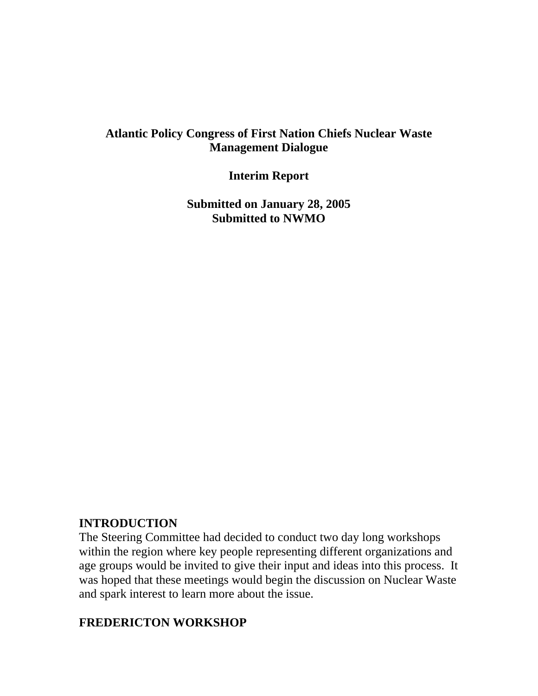### **Atlantic Policy Congress of First Nation Chiefs Nuclear Waste Management Dialogue**

**Interim Report** 

**Submitted on January 28, 2005 Submitted to NWMO** 

#### **INTRODUCTION**

The Steering Committee had decided to conduct two day long workshops within the region where key people representing different organizations and age groups would be invited to give their input and ideas into this process. It was hoped that these meetings would begin the discussion on Nuclear Waste and spark interest to learn more about the issue.

### **FREDERICTON WORKSHOP**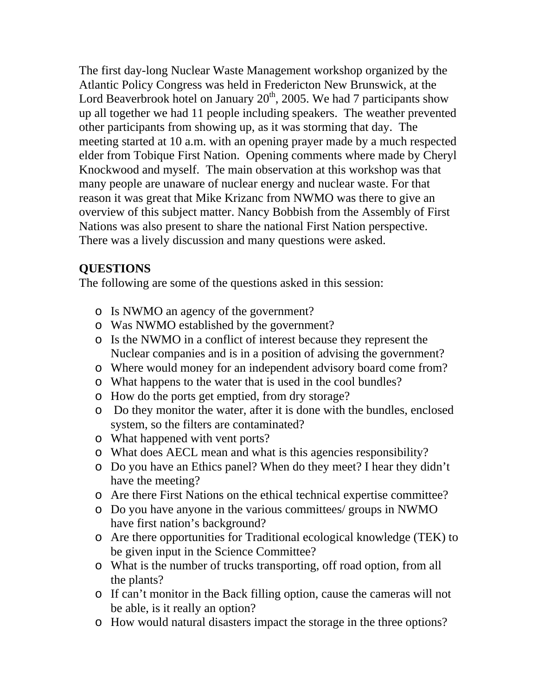The first day-long Nuclear Waste Management workshop organized by the Atlantic Policy Congress was held in Fredericton New Brunswick, at the Lord Beaverbrook hotel on January  $20<sup>th</sup>$ , 2005. We had 7 participants show up all together we had 11 people including speakers. The weather prevented other participants from showing up, as it was storming that day. The meeting started at 10 a.m. with an opening prayer made by a much respected elder from Tobique First Nation. Opening comments where made by Cheryl Knockwood and myself. The main observation at this workshop was that many people are unaware of nuclear energy and nuclear waste. For that reason it was great that Mike Krizanc from NWMO was there to give an overview of this subject matter. Nancy Bobbish from the Assembly of First Nations was also present to share the national First Nation perspective. There was a lively discussion and many questions were asked.

## **QUESTIONS**

The following are some of the questions asked in this session:

- o Is NWMO an agency of the government?
- o Was NWMO established by the government?
- o Is the NWMO in a conflict of interest because they represent the Nuclear companies and is in a position of advising the government?
- o Where would money for an independent advisory board come from?
- o What happens to the water that is used in the cool bundles?
- o How do the ports get emptied, from dry storage?
- o Do they monitor the water, after it is done with the bundles, enclosed system, so the filters are contaminated?
- o What happened with vent ports?
- o What does AECL mean and what is this agencies responsibility?
- o Do you have an Ethics panel? When do they meet? I hear they didn't have the meeting?
- o Are there First Nations on the ethical technical expertise committee?
- o Do you have anyone in the various committees/ groups in NWMO have first nation's background?
- o Are there opportunities for Traditional ecological knowledge (TEK) to be given input in the Science Committee?
- o What is the number of trucks transporting, off road option, from all the plants?
- o If can't monitor in the Back filling option, cause the cameras will not be able, is it really an option?
- o How would natural disasters impact the storage in the three options?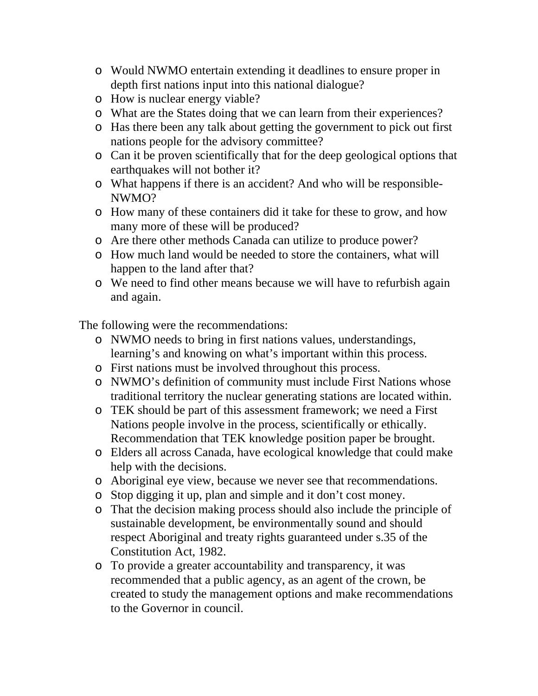- o Would NWMO entertain extending it deadlines to ensure proper in depth first nations input into this national dialogue?
- o How is nuclear energy viable?
- o What are the States doing that we can learn from their experiences?
- o Has there been any talk about getting the government to pick out first nations people for the advisory committee?
- o Can it be proven scientifically that for the deep geological options that earthquakes will not bother it?
- o What happens if there is an accident? And who will be responsible-NWMO?
- o How many of these containers did it take for these to grow, and how many more of these will be produced?
- o Are there other methods Canada can utilize to produce power?
- o How much land would be needed to store the containers, what will happen to the land after that?
- o We need to find other means because we will have to refurbish again and again.

The following were the recommendations:

- o NWMO needs to bring in first nations values, understandings, learning's and knowing on what's important within this process.
- o First nations must be involved throughout this process.
- o NWMO's definition of community must include First Nations whose traditional territory the nuclear generating stations are located within.
- o TEK should be part of this assessment framework; we need a First Nations people involve in the process, scientifically or ethically. Recommendation that TEK knowledge position paper be brought.
- o Elders all across Canada, have ecological knowledge that could make help with the decisions.
- o Aboriginal eye view, because we never see that recommendations.
- o Stop digging it up, plan and simple and it don't cost money.
- o That the decision making process should also include the principle of sustainable development, be environmentally sound and should respect Aboriginal and treaty rights guaranteed under s.35 of the Constitution Act, 1982.
- o To provide a greater accountability and transparency, it was recommended that a public agency, as an agent of the crown, be created to study the management options and make recommendations to the Governor in council.